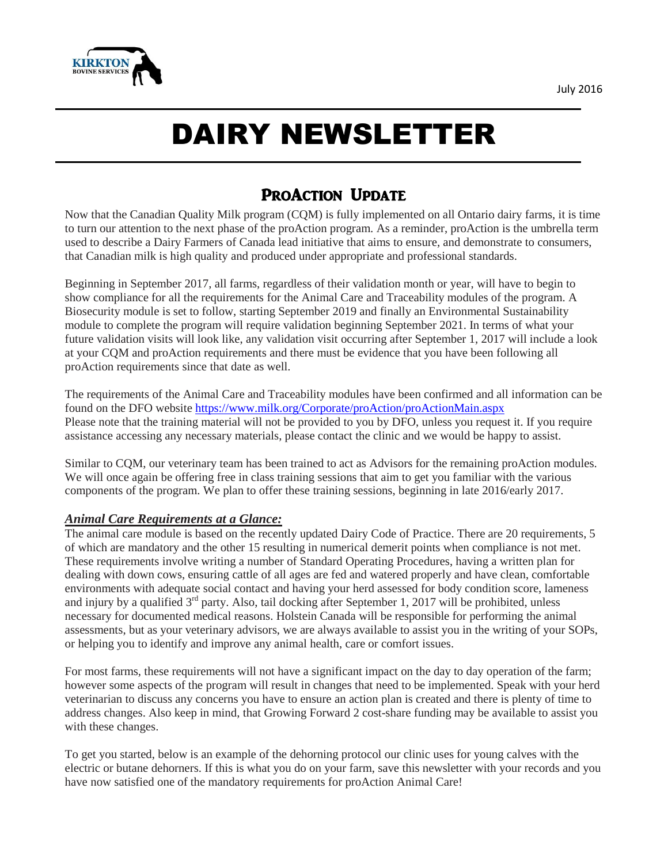

# DAIRY NEWSLETTER

# PROACTION UPDATE

Now that the Canadian Quality Milk program (CQM) is fully implemented on all Ontario dairy farms, it is time to turn our attention to the next phase of the proAction program. As a reminder, proAction is the umbrella term used to describe a Dairy Farmers of Canada lead initiative that aims to ensure, and demonstrate to consumers, that Canadian milk is high quality and produced under appropriate and professional standards.

Beginning in September 2017, all farms, regardless of their validation month or year, will have to begin to show compliance for all the requirements for the Animal Care and Traceability modules of the program. A Biosecurity module is set to follow, starting September 2019 and finally an Environmental Sustainability module to complete the program will require validation beginning September 2021. In terms of what your future validation visits will look like, any validation visit occurring after September 1, 2017 will include a look at your CQM and proAction requirements and there must be evidence that you have been following all proAction requirements since that date as well.

The requirements of the Animal Care and Traceability modules have been confirmed and all information can be found on the DFO website <https://www.milk.org/Corporate/proAction/proActionMain.aspx> Please note that the training material will not be provided to you by DFO, unless you request it. If you require assistance accessing any necessary materials, please contact the clinic and we would be happy to assist.

Similar to CQM, our veterinary team has been trained to act as Advisors for the remaining proAction modules. We will once again be offering free in class training sessions that aim to get you familiar with the various components of the program. We plan to offer these training sessions, beginning in late 2016/early 2017.

#### *Animal Care Requirements at a Glance:*

The animal care module is based on the recently updated Dairy Code of Practice. There are 20 requirements, 5 of which are mandatory and the other 15 resulting in numerical demerit points when compliance is not met. These requirements involve writing a number of Standard Operating Procedures, having a written plan for dealing with down cows, ensuring cattle of all ages are fed and watered properly and have clean, comfortable environments with adequate social contact and having your herd assessed for body condition score, lameness and injury by a qualified 3<sup>rd</sup> party. Also, tail docking after September 1, 2017 will be prohibited, unless necessary for documented medical reasons. Holstein Canada will be responsible for performing the animal assessments, but as your veterinary advisors, we are always available to assist you in the writing of your SOPs, or helping you to identify and improve any animal health, care or comfort issues.

For most farms, these requirements will not have a significant impact on the day to day operation of the farm; however some aspects of the program will result in changes that need to be implemented. Speak with your herd veterinarian to discuss any concerns you have to ensure an action plan is created and there is plenty of time to address changes. Also keep in mind, that Growing Forward 2 cost-share funding may be available to assist you with these changes.

To get you started, below is an example of the dehorning protocol our clinic uses for young calves with the electric or butane dehorners. If this is what you do on your farm, save this newsletter with your records and you have now satisfied one of the mandatory requirements for proAction Animal Care!